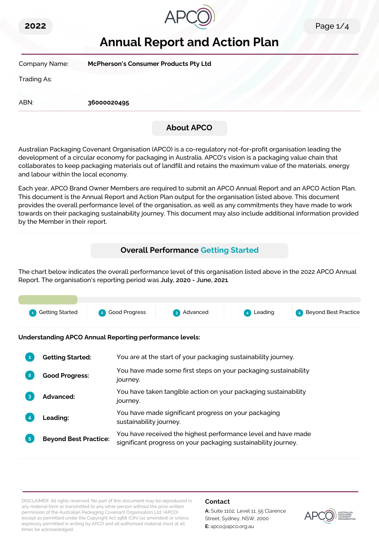



# **Annual Report and Action Plan**

| Company Name: | <b>McPherson's Consumer Products Pty Ltd</b> |  |
|---------------|----------------------------------------------|--|
| Trading As:   |                                              |  |
| ABN:          | 36000020495                                  |  |
|               | <b>About APCO</b>                            |  |

Australian Packaging Covenant Organisation (APCO) is a co-regulatory not-for-profit organisation leading the development of a circular economy for packaging in Australia. APCO's vision is a packaging value chain that collaborates to keep packaging materials out of landfill and retains the maximum value of the materials, energy and labour within the local economy.

Each year, APCO Brand Owner Members are required to submit an APCO Annual Report and an APCO Action Plan. This document is the Annual Report and Action Plan output for the organisation listed above. This document provides the overall performance level of the organisation, as well as any commitments they have made to work towards on their packaging sustainability journey. This document may also include additional information provided by the Member in their report.

# **Overall Performance Getting Started**

The chart below indicates the overall performance level of this organisation listed above in the 2022 APCO Annual Report. The organisation's reporting period was **July, 2020 - June, 2021**.



**Understanding APCO Annual Reporting performance levels:**

|                | <b>Getting Started:</b>      | You are at the start of your packaging sustainability journey.                                                                  |
|----------------|------------------------------|---------------------------------------------------------------------------------------------------------------------------------|
|                | <b>Good Progress:</b>        | You have made some first steps on your packaging sustainability<br>journey.                                                     |
| 3              | <b>Advanced:</b>             | You have taken tangible action on your packaging sustainability<br>journey.                                                     |
|                | <b>Leading:</b>              | You have made significant progress on your packaging<br>sustainability journey.                                                 |
| 5 <sup>5</sup> | <b>Beyond Best Practice:</b> | You have received the highest performance level and have made<br>significant progress on your packaging sustainability journey. |

DISCLAIMER: All rights reserved. No part of this document may be reproduced in any material form or transmitted to any other person without the prior written permission of the Australian Packaging Covenant Organisation Ltd. (APCO) except as permitted under the Copyright Act 1968 (Cth) (as amended) or unless expressly permitted in writing by APCO and all authorised material must at all times be acknowledged.

## **Contact**

**A:** Suite 1102, Level 11, 55 Clarence Street, Sydney, NSW, 2000 **E:** apco@apco.org.au

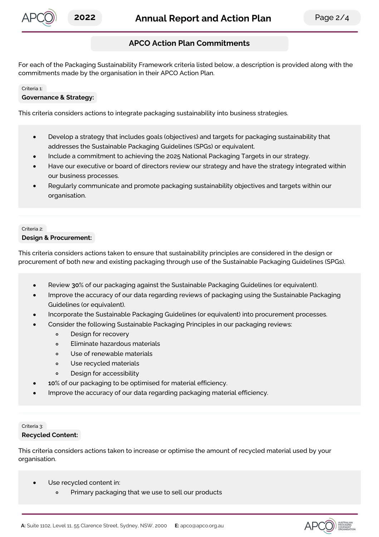

# **APCO Action Plan Commitments**

For each of the Packaging Sustainability Framework criteria listed below, a description is provided along with the commitments made by the organisation in their APCO Action Plan.

#### Criteria 1:

#### **Governance & Strategy:**

This criteria considers actions to integrate packaging sustainability into business strategies.

- Develop a strategy that includes goals (objectives) and targets for packaging sustainability that  $\bullet$ addresses the Sustainable Packaging Guidelines (SPGs) or equivalent.
- Include a commitment to achieving the 2025 National Packaging Targets in our strategy.
- Have our executive or board of directors review our strategy and have the strategy integrated within our business processes.
- Regularly communicate and promote packaging sustainability objectives and targets within our organisation.

#### Criteria 2:

#### **Design & Procurement:**

This criteria considers actions taken to ensure that sustainability principles are considered in the design or procurement of both new and existing packaging through use of the Sustainable Packaging Guidelines (SPGs).

- Review **30**% of our packaging against the Sustainable Packaging Guidelines (or equivalent).
- Improve the accuracy of our data regarding reviews of packaging using the Sustainable Packaging Guidelines (or equivalent).
- Incorporate the Sustainable Packaging Guidelines (or equivalent) into procurement processes.
- Consider the following Sustainable Packaging Principles in our packaging reviews:
	- Design for recovery  $\circ$
	- Eliminate hazardous materials  $\circ$
	- Use of renewable materials  $\circ$
	- $\circ$ Use recycled materials
	- Design for accessibility  $\circ$
- **10**% of our packaging to be optimised for material efficiency.
- Improve the accuracy of our data regarding packaging material efficiency.

## Criteria 3: **Recycled Content:**

This criteria considers actions taken to increase or optimise the amount of recycled material used by your organisation.

- Use recycled content in:  $\bullet$ 
	- Primary packaging that we use to sell our products

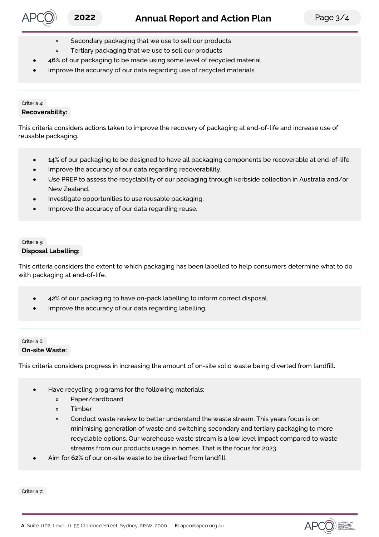- Secondary packaging that we use to sell our products  $\circ$
- Tertiary packaging that we use to sell our products  $\circ$
- **46**% of our packaging to be made using some level of recycled material
- Improve the accuracy of our data regarding use of recycled materials.

## Criteria 4: **Recoverability:**

This criteria considers actions taken to improve the recovery of packaging at end-of-life and increase use of reusable packaging.

- **14**% of our packaging to be designed to have all packaging components be recoverable at end-of-life.  $\bullet$
- Improve the accuracy of our data regarding recoverability.
- Use PREP to assess the recyclability of our packaging through kerbside collection in Australia and/or New Zealand.
- Investigate opportunities to use reusable packaging.
- Improve the accuracy of our data regarding reuse.

#### Criteria 5: **Disposal Labelling:**

This criteria considers the extent to which packaging has been labelled to help consumers determine what to do with packaging at end-of-life.

- **42**% of our packaging to have on-pack labelling to inform correct disposal.  $\bullet$
- Improve the accuracy of our data regarding labelling.

# Critoria 6: **On-site Waste:**

This criteria considers progress in increasing the amount of on-site solid waste being diverted from landfill.

- Have recycling programs for the following materials:
	- $\circ$ Paper/cardboard
	- Timber  $\circ$
	- Conduct waste review to better understand the waste stream. This years focus is on  $\circ$ minimising generation of waste and switching secondary and tertiary packaging to more recyclable options. Our warehouse waste stream is a low level impact compared to waste streams from our products usage in homes. That is the focus for 2023
- Aim for **62**% of our on-site waste to be diverted from landfill.

Criteria 7: